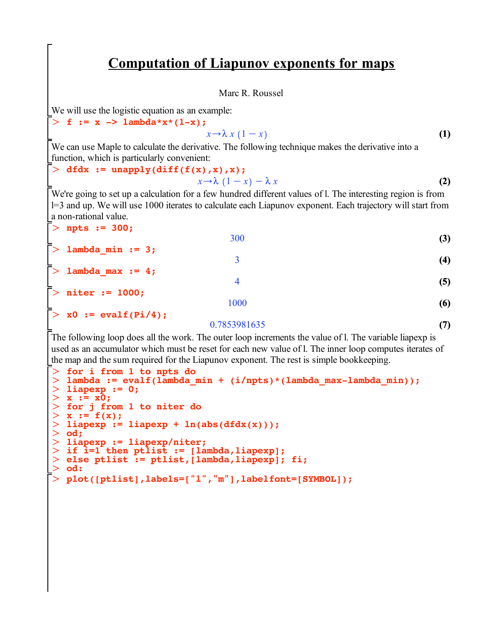## **Computation of Liapunov exponents for maps**

Marc R. Roussel

We will use the logistic equation as an example:

$$
> f := x \rightarrow \text{lambda}^* x^* (1-x);
$$
  

$$
x \rightarrow \lambda x (1-x)
$$
 (1)

We can use Maple to calculate the derivative. The following technique makes the derivative into a function, which is particularly convenient:

## $> dfdx := unapply(dff(f(x),x),x);$

$$
x \to \lambda (1-x) - \lambda x \tag{2}
$$

We're going to set up a calculation for a few hundred different values of l. The interesting region is from l=3 and up. We will use 1000 iterates to calculate each Liapunov exponent. Each trajectory will start from a non-rational value.

| $>$ npts := 300;             |              |            |
|------------------------------|--------------|------------|
|                              | 300          | (3)        |
| $\bar{>}$ lambda_min := 3;   |              |            |
|                              |              | (4)        |
| $\bar{>}$ lambda_max := 4;   |              |            |
|                              | 4            | (5)        |
| $\bar{>}$ niter := 1000;     | 1000         |            |
| $\bar{>}$ x0 := evalf(Pi/4); |              | (6)        |
|                              | 0.7053001725 | $\sqrt{2}$ |

## 0.7853981635

**(7)**

The following loop does all the work. The outer loop increments the value of l. The variable liapexp is used as an accumulator which must be reset for each new value of l. The inner loop computes iterates of the map and the sum required for the Liapunov exponent. The rest is simple bookkeeping.

```
\geq\geq\geq\geq\geq\geq\geqO
liapexp := 0;
> x := x\overline{0};
> else ptlist := ptlist, [lambda, liapexp]; fi;
\geqO
plot([ptlist],labels=["l","m"],labelfont=[SYMBOL]);> for i from 1 to npts do
  lambda := evalf(lambda_min + (i/npts)*(lambda_max-lambda_min));
 for j from 1 to niter do
  x := f(x);liapexp := liapexp + ln(abs(dfdx(x)));
  od;
 liapexp := liapexp/niter;
 if i=1 then ptlist := [lambda,liapexp];
  od:
```